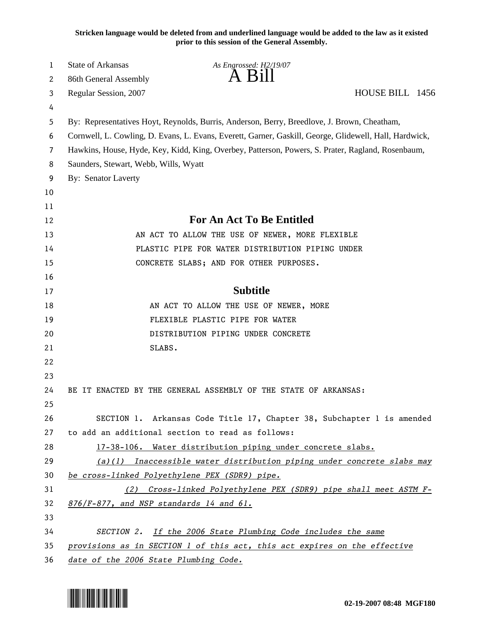**Stricken language would be deleted from and underlined language would be added to the law as it existed prior to this session of the General Assembly.**

| 1      | <b>State of Arkansas</b>                                                                               | As Engrossed: H2/19/07<br>A B1ll                                                            |                 |
|--------|--------------------------------------------------------------------------------------------------------|---------------------------------------------------------------------------------------------|-----------------|
| 2      | 86th General Assembly                                                                                  |                                                                                             | HOUSE BILL 1456 |
| 3      | Regular Session, 2007                                                                                  |                                                                                             |                 |
| 4<br>5 |                                                                                                        | By: Representatives Hoyt, Reynolds, Burris, Anderson, Berry, Breedlove, J. Brown, Cheatham, |                 |
| 6      | Cornwell, L. Cowling, D. Evans, L. Evans, Everett, Garner, Gaskill, George, Glidewell, Hall, Hardwick, |                                                                                             |                 |
| 7      | Hawkins, House, Hyde, Key, Kidd, King, Overbey, Patterson, Powers, S. Prater, Ragland, Rosenbaum,      |                                                                                             |                 |
| 8      | Saunders, Stewart, Webb, Wills, Wyatt                                                                  |                                                                                             |                 |
| 9      | <b>By: Senator Laverty</b>                                                                             |                                                                                             |                 |
| 10     |                                                                                                        |                                                                                             |                 |
| 11     |                                                                                                        |                                                                                             |                 |
| 12     | <b>For An Act To Be Entitled</b>                                                                       |                                                                                             |                 |
| 13     |                                                                                                        | AN ACT TO ALLOW THE USE OF NEWER, MORE FLEXIBLE                                             |                 |
| 14     | PLASTIC PIPE FOR WATER DISTRIBUTION PIPING UNDER                                                       |                                                                                             |                 |
| 15     |                                                                                                        | CONCRETE SLABS; AND FOR OTHER PURPOSES.                                                     |                 |
| 16     |                                                                                                        |                                                                                             |                 |
| 17     | <b>Subtitle</b>                                                                                        |                                                                                             |                 |
| 18     |                                                                                                        | AN ACT TO ALLOW THE USE OF NEWER, MORE                                                      |                 |
| 19     |                                                                                                        | FLEXIBLE PLASTIC PIPE FOR WATER                                                             |                 |
| 20     |                                                                                                        | DISTRIBUTION PIPING UNDER CONCRETE                                                          |                 |
| 21     | SLABS.                                                                                                 |                                                                                             |                 |
| 22     |                                                                                                        |                                                                                             |                 |
| 23     |                                                                                                        |                                                                                             |                 |
| 24     |                                                                                                        | BE IT ENACTED BY THE GENERAL ASSEMBLY OF THE STATE OF ARKANSAS:                             |                 |
| 25     |                                                                                                        |                                                                                             |                 |
| 26     |                                                                                                        | SECTION 1. Arkansas Code Title 17, Chapter 38, Subchapter 1 is amended                      |                 |
| 27     |                                                                                                        | to add an additional section to read as follows:                                            |                 |
| 28     |                                                                                                        | 17-38-106. Water distribution piping under concrete slabs.                                  |                 |
| 29     |                                                                                                        | $(a)(1)$ Inaccessible water distribution piping under concrete slabs may                    |                 |
| 30     | be cross-linked Polyethylene PEX (SDR9) pipe.                                                          |                                                                                             |                 |
| 31     |                                                                                                        | (2) Cross-linked Polyethylene PEX (SDR9) pipe shall meet ASTM F-                            |                 |
| 32     | $876/F-877$ , and NSP standards 14 and $61$ .                                                          |                                                                                             |                 |
| 33     |                                                                                                        |                                                                                             |                 |
| 34     |                                                                                                        | SECTION 2. If the 2006 State Plumbing Code includes the same                                |                 |
| 35     | provisions as in SECTION 1 of this act, this act expires on the effective                              |                                                                                             |                 |
| 36     | date of the 2006 State Plumbing Code.                                                                  |                                                                                             |                 |